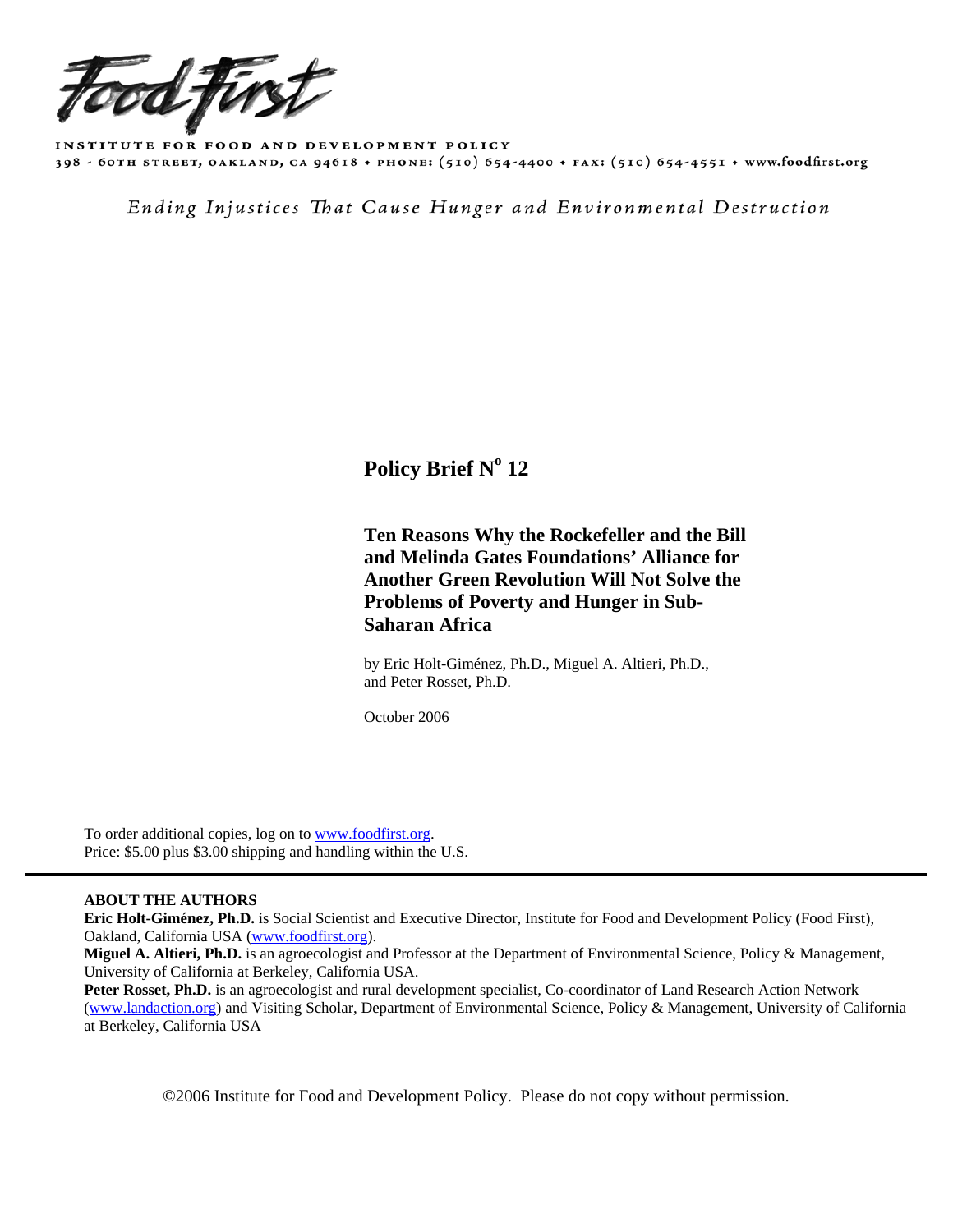

INSTITUTE FOR FOOD AND DEVELOPMENT POLICY 398 - 60TH STREET, OAKLAND, CA 94618 + PHONE: (510) 654-4400 + FAX: (510) 654-4551 + www.foodfirst.org

Ending Injustices That Cause Hunger and Environmental Destruction

# **Policy Brief N° 12**

# **Ten Reasons Why the Rockefeller and the Bill and Melinda Gates Foundations' Alliance for Another Green Revolution Will Not Solve the Problems of Poverty and Hunger in Sub- Saharan Africa**

 by Eric Holt-Giménez, Ph.D., Miguel A. Altieri, Ph.D., and Peter Rosset, Ph.D.

October 2006

 To order additional copies, log on to [www.foodfirst.org.](http://www.foodfirst.org/) Price: \$5.00 plus \$3.00 shipping and handling within the U.S.

## **ABOUT THE AUTHORS**

**Eric Holt-Giménez, Ph.D.** is Social Scientist and Executive Director, Institute for Food and Development Policy (Food First), Oakland, California USA ([www.foodfirst.org](http://www.foodfirst.org/)).

**Miguel A. Altieri, Ph.D.** is an agroecologist and Professor at the Department of Environmental Science, Policy & Management, University of California at Berkeley, California USA.

Peter Rosset, Ph.D. is an agroecologist and rural development specialist, Co-coordinator of Land Research Action Network [\(www.landaction.org\)](http://www.landaction.org/) and Visiting Scholar, Department of Environmental Science, Policy & Management, University of California at Berkeley, California USA

©2006 Institute for Food and Development Policy. Please do not copy without permission.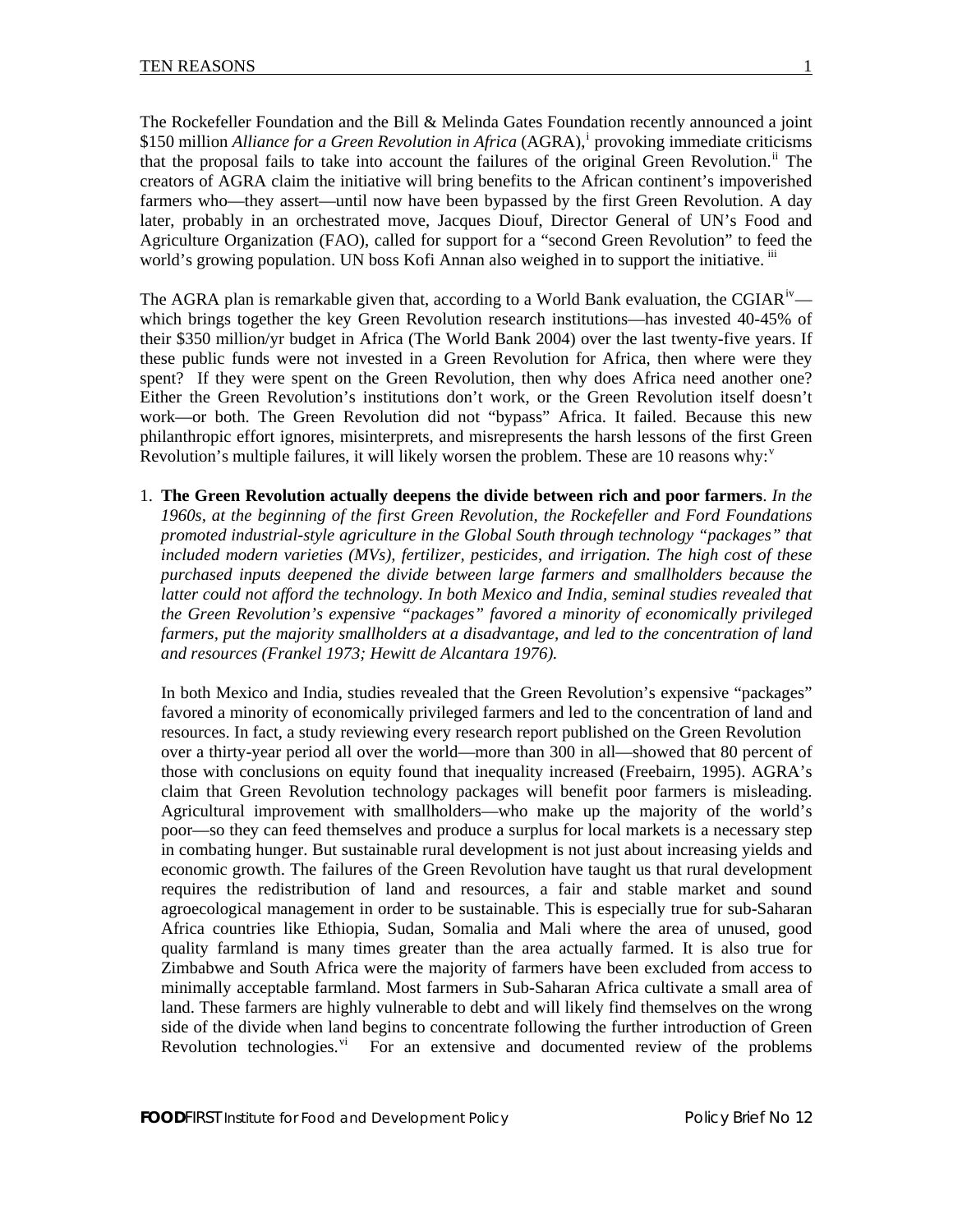The Rockefeller Foundation and the Bill & Melinda Gates Foundation recently announced a joint \$150 m[i](#page-10-0)llion *Alliance for a Green Revolution in Africa* (AGRA),<sup>i</sup> provoking immediate criticisms that the proposal fails to take into account the failures of the original Green Revolution.<sup>[ii](#page-10-1)</sup> The creators of AGRA claim the initiative will bring benefits to the African continent's impoverished farmers who—they assert—until now have been bypassed by the first Green Revolution. A day later, probably in an orchestrated move, Jacques Diouf, Director General of UN's Food and Agriculture Organization (FAO), called for support for a "second Green Revolution" to feed the world's growing population. UN boss Kofi Annan also weighed in to support the initiative.  $\ddot{u}$ 

The AGRA plan is remarkable g[iv](#page-10-1)en that, according to a World Bank evaluation, the CGIAR<sup>iv</sup> which brings together the key Green Revolution research institutions—has invested 40-45% of their \$350 million/yr budget in Africa (The World Bank 2004) over the last twenty-five years. If these public funds were not invested in a Green Revolution for Africa, then where were they spent? If they were spent on the Green Revolution, then why does Africa need another one? Either the Green Revolution's institutions don't work, or the Green Revolution itself doesn't work—or both. The Green Revolution did not "bypass" Africa. It failed. Because this new philanthropic effort ignores, misinterprets, and misrepresents the harsh lessons of the first Green Re[v](#page-10-1)olution's multiple failures, it will likely worsen the problem. These are 10 reasons why: $v^2$ 

1. **The Green Revolution actually deepens the divide between rich and poor farmers**. *In the 1960s, at the beginning of the first Green Revolution, the Rockefeller and Ford Foundations promoted industrial-style agriculture in the Global South through technology "packages" that included modern varieties (MVs), fertilizer, pesticides, and irrigation. The high cost of these purchased inputs deepened the divide between large farmers and smallholders because the latter could not afford the technology. In both Mexico and India, seminal studies revealed that the Green Revolution's expensive "packages" favored a minority of economically privileged farmers, put the majority smallholders at a disadvantage, and led to the concentration of land and resources (Frankel 1973; Hewitt de Alcantara 1976).*

In both Mexico and India, studies revealed that the Green Revolution's expensive "packages" favored a minority of economically privileged farmers and led to the concentration of land and resources. In fact, a study reviewing every research report published on the Green Revolution over a thirty-year period all over the world—more than 300 in all—showed that 80 percent of those with conclusions on equity found that inequality increased (Freebairn, 1995). AGRA's claim that Green Revolution technology packages will benefit poor farmers is misleading. Agricultural improvement with smallholders—who make up the majority of the world's poor—so they can feed themselves and produce a surplus for local markets is a necessary step in combating hunger. But sustainable rural development is not just about increasing yields and economic growth. The failures of the Green Revolution have taught us that rural development requires the redistribution of land and resources, a fair and stable market and sound agroecological management in order to be sustainable. This is especially true for sub-Saharan Africa countries like Ethiopia, Sudan, Somalia and Mali where the area of unused, good quality farmland is many times greater than the area actually farmed. It is also true for Zimbabwe and South Africa were the majority of farmers have been excluded from access to minimally acceptable farmland. Most farmers in Sub-Saharan Africa cultivate a small area of land. These farmers are highly vulnerable to debt and will likely find themselves on the wrong side of the divide when land begins to concentrate following the further introduction of Green Revolution technologies. $\overline{v}$  For an extensive and documented re[vi](#page-10-1)ew of the problems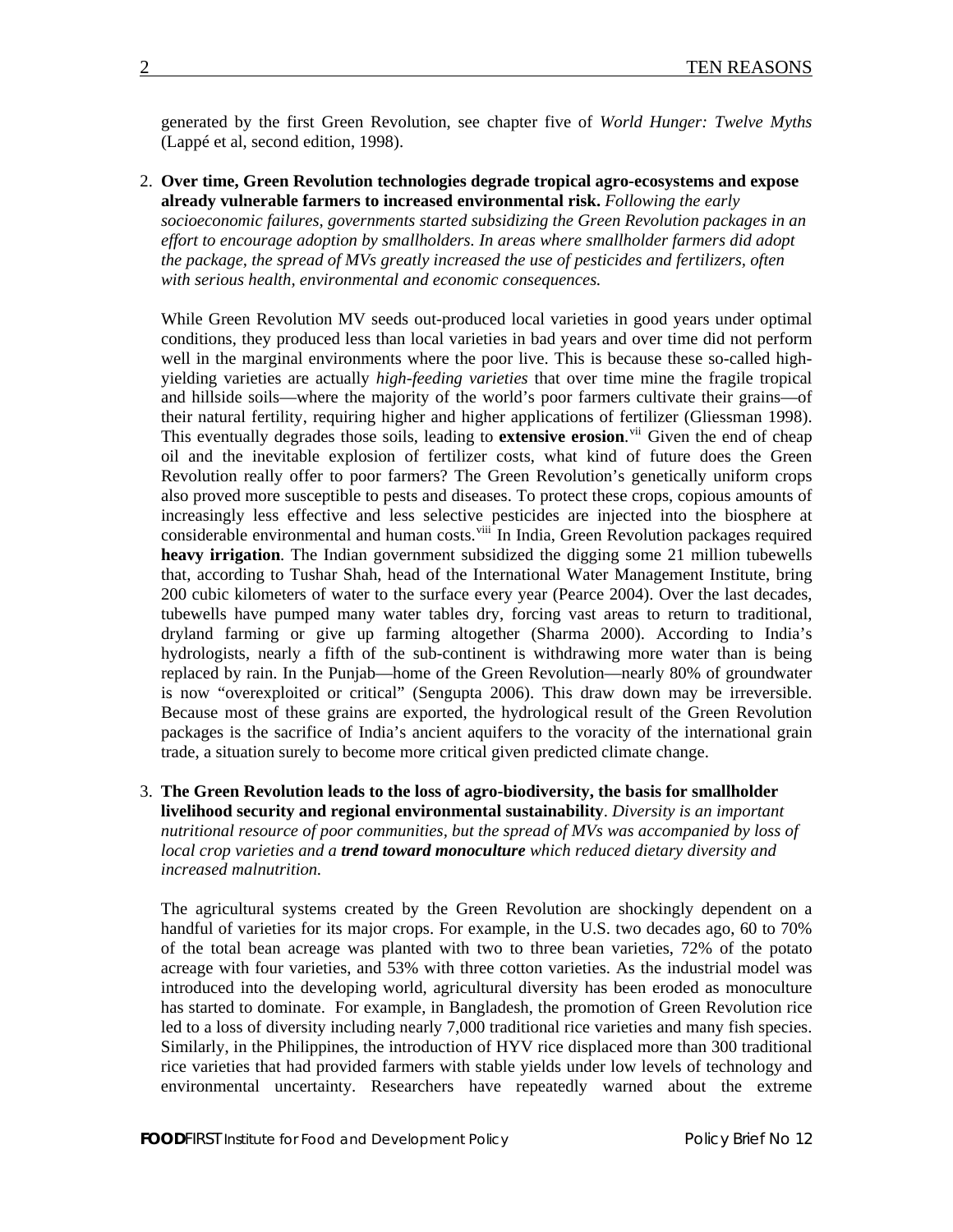generated by the first Green Revolution, see chapter five of *World Hunger: Twelve Myths* (Lappé et al, second edition, 1998).

2. **Over time, Green Revolution technologies degrade tropical agro-ecosystems and expose already vulnerable farmers to increased environmental risk.** *Following the early socioeconomic failures, governments started subsidizing the Green Revolution packages in an effort to encourage adoption by smallholders. In areas where smallholder farmers did adopt the package, the spread of MVs greatly increased the use of pesticides and fertilizers, often with serious health, environmental and economic consequences.* 

While Green Revolution MV seeds out-produced local varieties in good years under optimal conditions, they produced less than local varieties in bad years and over time did not perform well in the marginal environments where the poor live. This is because these so-called highyielding varieties are actually *high-feeding varieties* that over time mine the fragile tropical and hillside soils—where the majority of the world's poor farmers cultivate their grains—of their natural fertility, requiring higher and higher applications of fertilizer (Gliessman 1998). This eventually degrades those soils, leading to **extensive erosion**.<sup>[vii](#page-10-1)</sup> Given the end of cheap oil and the inevitable explosion of fertilizer costs, what kind of future does the Green Revolution really offer to poor farmers? The Green Revolution's genetically uniform crops also proved more susceptible to pests and diseases. To protect these crops, copious amounts of increasingly less effective and less selective pesticides are injected into the biosphere at considerable environmental and human costs.<sup>[viii](#page-11-0)</sup> In India, Green Revolution packages required **heavy irrigation**. The Indian government subsidized the digging some 21 million tubewells that, according to Tushar Shah, head of the International Water Management Institute, bring 200 cubic kilometers of water to the surface every year (Pearce 2004). Over the last decades, tubewells have pumped many water tables dry, forcing vast areas to return to traditional, dryland farming or give up farming altogether (Sharma 2000). According to India's hydrologists, nearly a fifth of the sub-continent is withdrawing more water than is being replaced by rain. In the Punjab—home of the Green Revolution—nearly 80% of groundwater is now "overexploited or critical" (Sengupta 2006). This draw down may be irreversible. Because most of these grains are exported, the hydrological result of the Green Revolution packages is the sacrifice of India's ancient aquifers to the voracity of the international grain trade, a situation surely to become more critical given predicted climate change.

3. **The Green Revolution leads to the loss of agro-biodiversity, the basis for smallholder livelihood security and regional environmental sustainability**. *Diversity is an important nutritional resource of poor communities, but the spread of MVs was accompanied by loss of local crop varieties and a trend toward monoculture which reduced dietary diversity and increased malnutrition.*

The agricultural systems created by the Green Revolution are shockingly dependent on a handful of varieties for its major crops. For example, in the U.S. two decades ago, 60 to 70% of the total bean acreage was planted with two to three bean varieties, 72% of the potato acreage with four varieties, and 53% with three cotton varieties. As the industrial model was introduced into the developing world, agricultural diversity has been eroded as monoculture has started to dominate. For example, in Bangladesh, the promotion of Green Revolution rice led to a loss of diversity including nearly 7,000 traditional rice varieties and many fish species. Similarly, in the Philippines, the introduction of HYV rice displaced more than 300 traditional rice varieties that had provided farmers with stable yields under low levels of technology and environmental uncertainty. Researchers have repeatedly warned about the extreme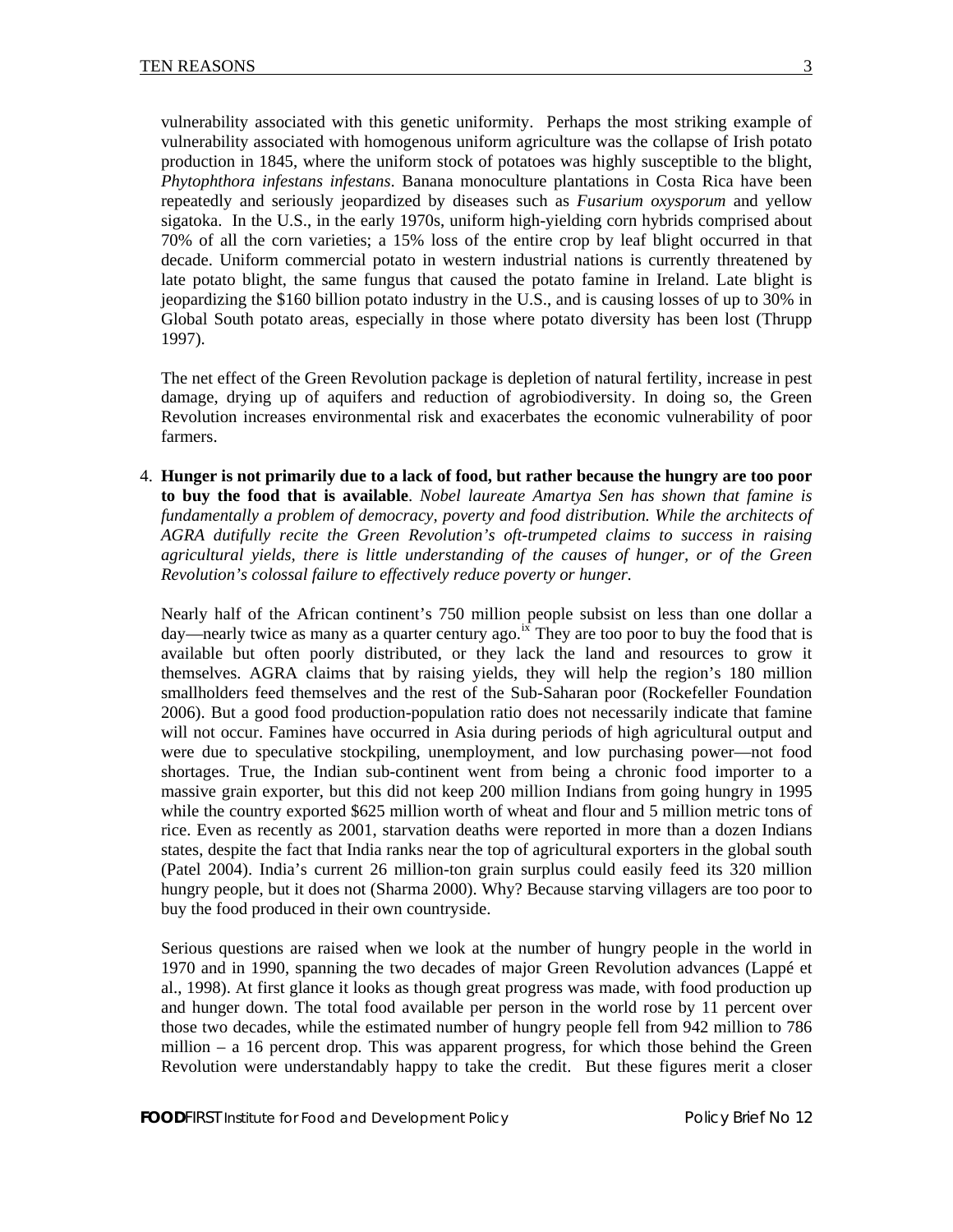vulnerability associated with this genetic uniformity. Perhaps the most striking example of vulnerability associated with homogenous uniform agriculture was the collapse of Irish potato production in 1845, where the uniform stock of potatoes was highly susceptible to the blight, *Phytophthora infestans infestans*. Banana monoculture plantations in Costa Rica have been repeatedly and seriously jeopardized by diseases such as *Fusarium oxysporum* and yellow sigatoka. In the U.S., in the early 1970s, uniform high-yielding corn hybrids comprised about 70% of all the corn varieties; a 15% loss of the entire crop by leaf blight occurred in that decade. Uniform commercial potato in western industrial nations is currently threatened by late potato blight, the same fungus that caused the potato famine in Ireland. Late blight is jeopardizing the \$160 billion potato industry in the U.S., and is causing losses of up to 30% in Global South potato areas, especially in those where potato diversity has been lost (Thrupp 1997).

The net effect of the Green Revolution package is depletion of natural fertility, increase in pest damage, drying up of aquifers and reduction of agrobiodiversity. In doing so, the Green Revolution increases environmental risk and exacerbates the economic vulnerability of poor farmers.

4. **Hunger is not primarily due to a lack of food, but rather because the hungry are too poor to buy the food that is available**. *Nobel laureate Amartya Sen has shown that famine is fundamentally a problem of democracy, poverty and food distribution. While the architects of AGRA dutifully recite the Green Revolution's oft-trumpeted claims to success in raising agricultural yields, there is little understanding of the causes of hunger, or of the Green Revolution's colossal failure to effectively reduce poverty or hunger.* 

Nearly half of the African continent's 750 million people subsist on less than one dollar a day—nearly twice as many as a quarter century ago.<sup>[ix](#page-11-0)</sup> They are too poor to buy the food that is available but often poorly distributed, or they lack the land and resources to grow it themselves. AGRA claims that by raising yields, they will help the region's 180 million smallholders feed themselves and the rest of the Sub-Saharan poor (Rockefeller Foundation 2006). But a good food production-population ratio does not necessarily indicate that famine will not occur. Famines have occurred in Asia during periods of high agricultural output and were due to speculative stockpiling, unemployment, and low purchasing power—not food shortages. True, the Indian sub-continent went from being a chronic food importer to a massive grain exporter, but this did not keep 200 million Indians from going hungry in 1995 while the country exported \$625 million worth of wheat and flour and 5 million metric tons of rice. Even as recently as 2001, starvation deaths were reported in more than a dozen Indians states, despite the fact that India ranks near the top of agricultural exporters in the global south (Patel 2004). India's current 26 million-ton grain surplus could easily feed its 320 million hungry people, but it does not (Sharma 2000). Why? Because starving villagers are too poor to buy the food produced in their own countryside.

Serious questions are raised when we look at the number of hungry people in the world in 1970 and in 1990, spanning the two decades of major Green Revolution advances (Lappé et al., 1998). At first glance it looks as though great progress was made, with food production up and hunger down. The total food available per person in the world rose by 11 percent over those two decades, while the estimated number of hungry people fell from 942 million to 786 million – a 16 percent drop. This was apparent progress, for which those behind the Green Revolution were understandably happy to take the credit. But these figures merit a closer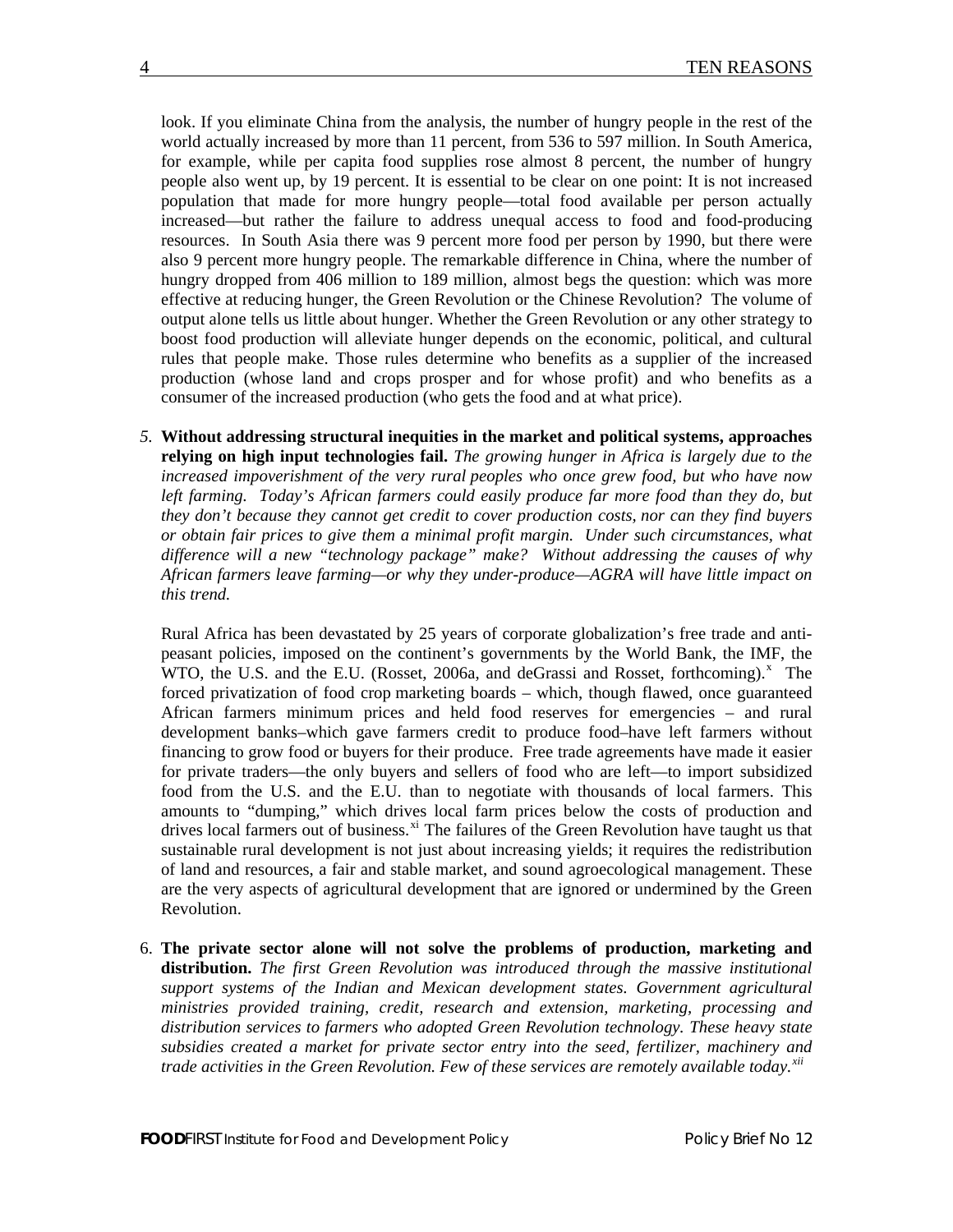look. If you eliminate China from the analysis, the number of hungry people in the rest of the world actually increased by more than 11 percent, from 536 to 597 million. In South America, for example, while per capita food supplies rose almost 8 percent, the number of hungry people also went up, by 19 percent. It is essential to be clear on one point: It is not increased population that made for more hungry people—total food available per person actually increased—but rather the failure to address unequal access to food and food-producing resources. In South Asia there was 9 percent more food per person by 1990, but there were also 9 percent more hungry people. The remarkable difference in China, where the number of hungry dropped from 406 million to 189 million, almost begs the question: which was more effective at reducing hunger, the Green Revolution or the Chinese Revolution? The volume of output alone tells us little about hunger. Whether the Green Revolution or any other strategy to boost food production will alleviate hunger depends on the economic, political, and cultural rules that people make. Those rules determine who benefits as a supplier of the increased production (whose land and crops prosper and for whose profit) and who benefits as a consumer of the increased production (who gets the food and at what price).

*5.* **Without addressing structural inequities in the market and political systems, approaches relying on high input technologies fail.** *The growing hunger in Africa is largely due to the increased impoverishment of the very rural peoples who once grew food, but who have now*  left farming. Today's African farmers could easily produce far more food than they do, but *they don't because they cannot get credit to cover production costs, nor can they find buyers or obtain fair prices to give them a minimal profit margin. Under such circumstances, what difference will a new "technology package" make? Without addressing the causes of why African farmers leave farming—or why they under-produce—AGRA will have little impact on this trend.* 

Rural Africa has been devastated by 25 years of corporate globalization's free trade and antipeasant policies, imposed on the continent's governments by the World Bank, the IMF, the WTO, the U.S. and the E.U. (Rosset, 2006a, and deGrassi and Rosset, forthcoming). $^x$  $^x$  The forced privatization of food crop marketing boards – which, though flawed, once guaranteed African farmers minimum prices and held food reserves for emergencies – and rural development banks–which gave farmers credit to produce food–have left farmers without financing to grow food or buyers for their produce. Free trade agreements have made it easier for private traders—the only buyers and sellers of food who are left—to import subsidized food from the U.S. and the E.U. than to negotiate with thousands of local farmers. This amounts to "dumping," which drives local farm prices below the costs of production and drives local farmers out of business.<sup>[xi](#page-11-0)</sup> The failures of the Green Revolution have taught us that sustainable rural development is not just about increasing yields; it requires the redistribution of land and resources, a fair and stable market, and sound agroecological management. These are the very aspects of agricultural development that are ignored or undermined by the Green Revolution.

6. **The private sector alone will not solve the problems of production, marketing and distribution.** *The first Green Revolution was introduced through the massive institutional support systems of the Indian and Mexican development states. Government agricultural ministries provided training, credit, research and extension, marketing, processing and distribution services to farmers who adopted Green Revolution technology. These heavy state subsidies created a market for private sector entry into the seed, fertilizer, machinery and trade activities in the Green Revolution. Few of these services are remotely available today.[xii](#page-11-0)*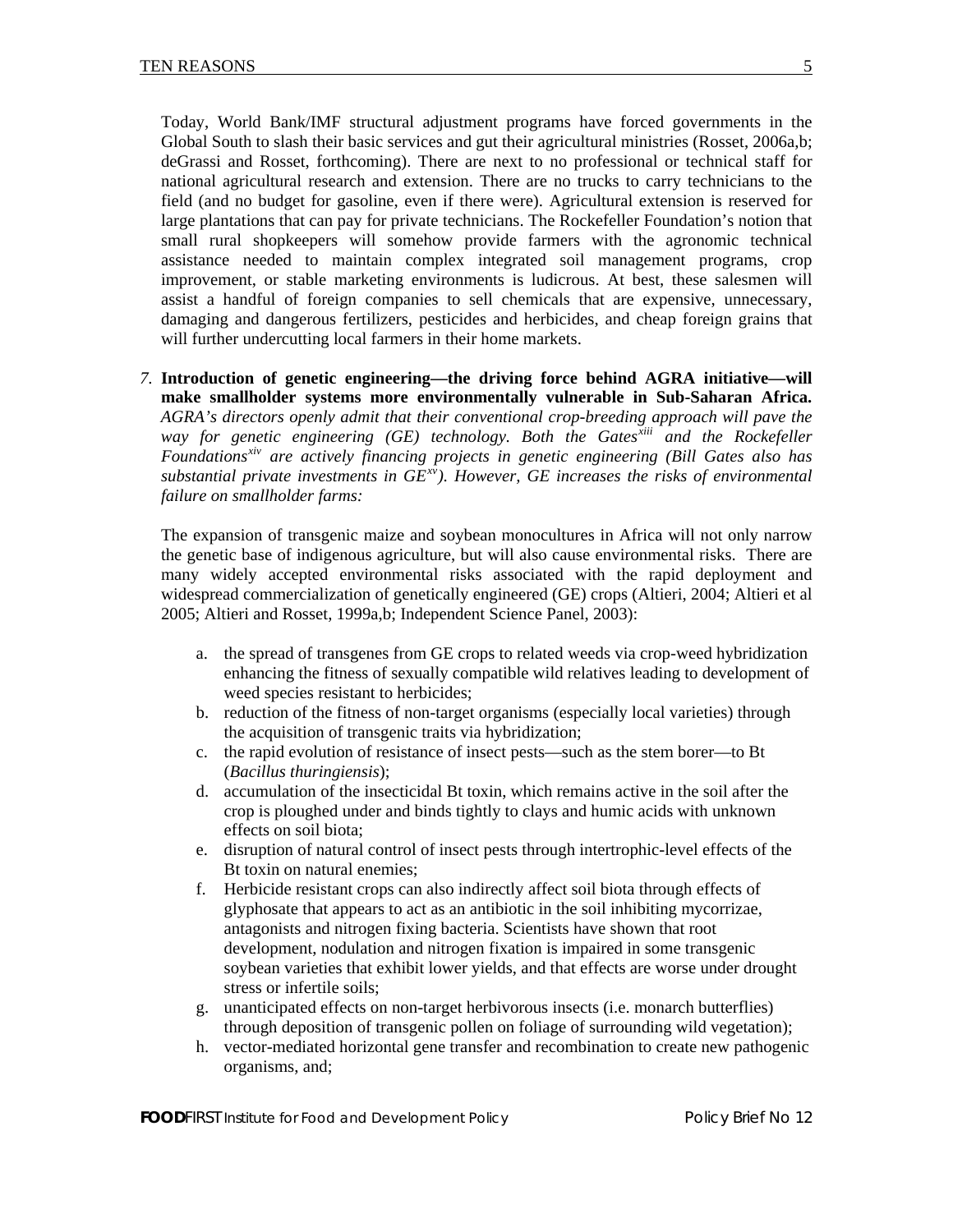Today, World Bank/IMF structural adjustment programs have forced governments in the Global South to slash their basic services and gut their agricultural ministries (Rosset, 2006a,b; deGrassi and Rosset, forthcoming). There are next to no professional or technical staff for national agricultural research and extension. There are no trucks to carry technicians to the field (and no budget for gasoline, even if there were). Agricultural extension is reserved for large plantations that can pay for private technicians. The Rockefeller Foundation's notion that small rural shopkeepers will somehow provide farmers with the agronomic technical assistance needed to maintain complex integrated soil management programs, crop improvement, or stable marketing environments is ludicrous. At best, these salesmen will assist a handful of foreign companies to sell chemicals that are expensive, unnecessary, damaging and dangerous fertilizers, pesticides and herbicides, and cheap foreign grains that will further undercutting local farmers in their home markets.

*7.* **Introduction of genetic engineering—the driving force behind AGRA initiative—will make smallholder systems more environmentally vulnerable in Sub-Saharan Africa.** *AGRA's directors openly admit that their conventional crop-breeding approach will pave the way for genetic engineering (GE) technology. Both the Gates[xiii](#page-11-0) and the Rockefeller Foundations[xiv](#page-11-0) are actively financing projects in genetic engineering (Bill Gates also has substantial private investments in GE[xv](#page-11-0)). However, GE increases the risks of environmental failure on smallholder farms:* 

The expansion of transgenic maize and soybean monocultures in Africa will not only narrow the genetic base of indigenous agriculture, but will also cause environmental risks. There are many widely accepted environmental risks associated with the rapid deployment and widespread commercialization of genetically engineered (GE) crops (Altieri, 2004; Altieri et al 2005; Altieri and Rosset, 1999a,b; Independent Science Panel, 2003):

- a. the spread of transgenes from GE crops to related weeds via crop-weed hybridization enhancing the fitness of sexually compatible wild relatives leading to development of weed species resistant to herbicides;
- b. reduction of the fitness of non-target organisms (especially local varieties) through the acquisition of transgenic traits via hybridization;
- c. the rapid evolution of resistance of insect pests—such as the stem borer—to Bt (*Bacillus thuringiensis*);
- d. accumulation of the insecticidal Bt toxin, which remains active in the soil after the crop is ploughed under and binds tightly to clays and humic acids with unknown effects on soil biota;
- e. disruption of natural control of insect pests through intertrophic-level effects of the Bt toxin on natural enemies;
- f. Herbicide resistant crops can also indirectly affect soil biota through effects of glyphosate that appears to act as an antibiotic in the soil inhibiting mycorrizae, antagonists and nitrogen fixing bacteria. Scientists have shown that root development, nodulation and nitrogen fixation is impaired in some transgenic soybean varieties that exhibit lower yields, and that effects are worse under drought stress or infertile soils;
- g. unanticipated effects on non-target herbivorous insects (i.e. monarch butterflies) through deposition of transgenic pollen on foliage of surrounding wild vegetation);
- h. vector-mediated horizontal gene transfer and recombination to create new pathogenic organisms, and;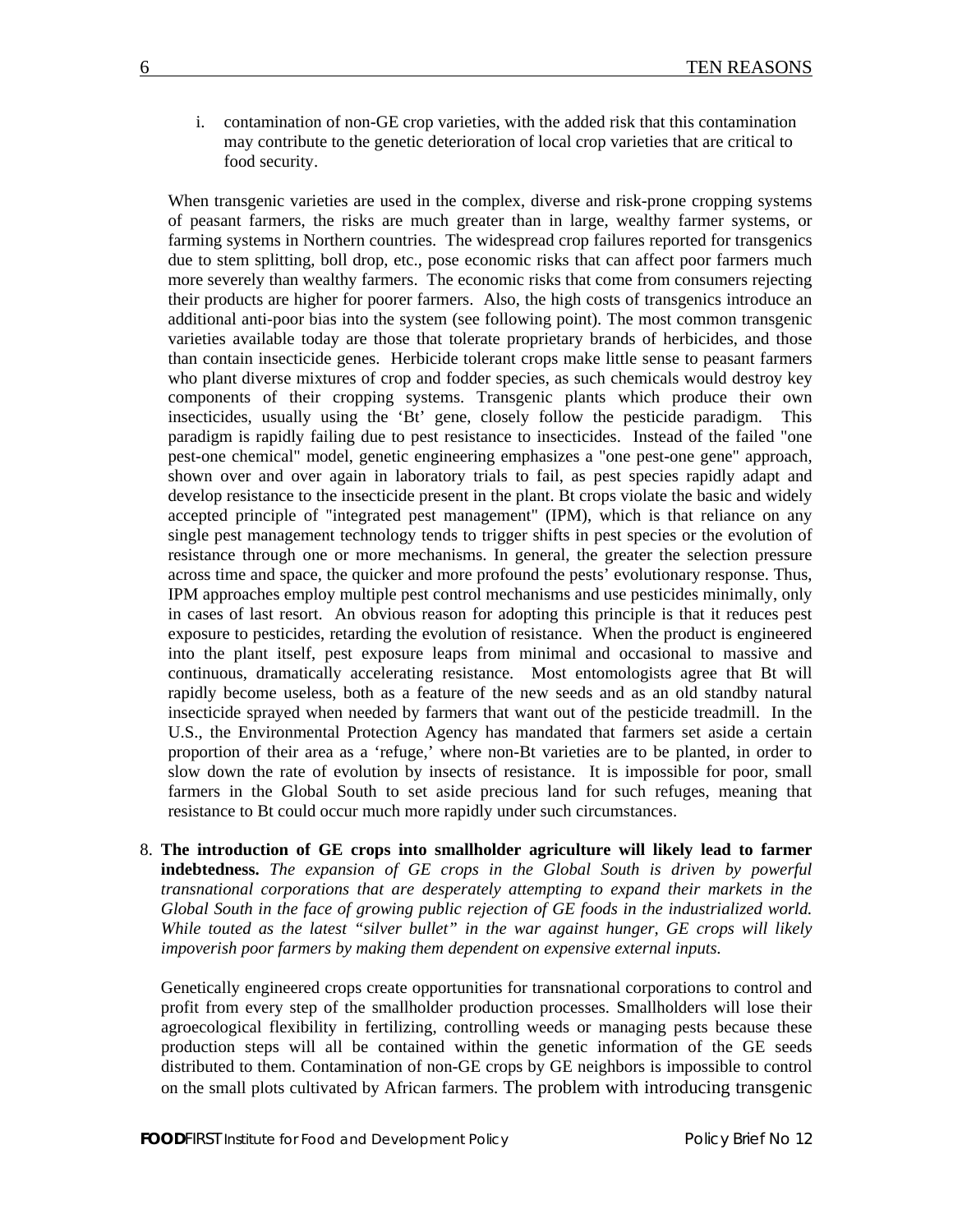i. contamination of non-GE crop varieties, with the added risk that this contamination may contribute to the genetic deterioration of local crop varieties that are critical to food security.

When transgenic varieties are used in the complex, diverse and risk-prone cropping systems of peasant farmers, the risks are much greater than in large, wealthy farmer systems, or farming systems in Northern countries. The widespread crop failures reported for transgenics due to stem splitting, boll drop, etc., pose economic risks that can affect poor farmers much more severely than wealthy farmers. The economic risks that come from consumers rejecting their products are higher for poorer farmers. Also, the high costs of transgenics introduce an additional anti-poor bias into the system (see following point). The most common transgenic varieties available today are those that tolerate proprietary brands of herbicides, and those than contain insecticide genes. Herbicide tolerant crops make little sense to peasant farmers who plant diverse mixtures of crop and fodder species, as such chemicals would destroy key components of their cropping systems. Transgenic plants which produce their own insecticides, usually using the 'Bt' gene, closely follow the pesticide paradigm. This paradigm is rapidly failing due to pest resistance to insecticides. Instead of the failed "one pest-one chemical" model, genetic engineering emphasizes a "one pest-one gene" approach, shown over and over again in laboratory trials to fail, as pest species rapidly adapt and develop resistance to the insecticide present in the plant. Bt crops violate the basic and widely accepted principle of "integrated pest management" (IPM), which is that reliance on any single pest management technology tends to trigger shifts in pest species or the evolution of resistance through one or more mechanisms. In general, the greater the selection pressure across time and space, the quicker and more profound the pests' evolutionary response. Thus, IPM approaches employ multiple pest control mechanisms and use pesticides minimally, only in cases of last resort. An obvious reason for adopting this principle is that it reduces pest exposure to pesticides, retarding the evolution of resistance. When the product is engineered into the plant itself, pest exposure leaps from minimal and occasional to massive and continuous, dramatically accelerating resistance. Most entomologists agree that Bt will rapidly become useless, both as a feature of the new seeds and as an old standby natural insecticide sprayed when needed by farmers that want out of the pesticide treadmill. In the U.S., the Environmental Protection Agency has mandated that farmers set aside a certain proportion of their area as a 'refuge,' where non-Bt varieties are to be planted, in order to slow down the rate of evolution by insects of resistance. It is impossible for poor, small farmers in the Global South to set aside precious land for such refuges, meaning that resistance to Bt could occur much more rapidly under such circumstances.

8. **The introduction of GE crops into smallholder agriculture will likely lead to farmer indebtedness.** *The expansion of GE crops in the Global South is driven by powerful transnational corporations that are desperately attempting to expand their markets in the Global South in the face of growing public rejection of GE foods in the industrialized world. While touted as the latest "silver bullet" in the war against hunger, GE crops will likely impoverish poor farmers by making them dependent on expensive external inputs.*

Genetically engineered crops create opportunities for transnational corporations to control and profit from every step of the smallholder production processes. Smallholders will lose their agroecological flexibility in fertilizing, controlling weeds or managing pests because these production steps will all be contained within the genetic information of the GE seeds distributed to them. Contamination of non-GE crops by GE neighbors is impossible to control on the small plots cultivated by African farmers. The problem with introducing transgenic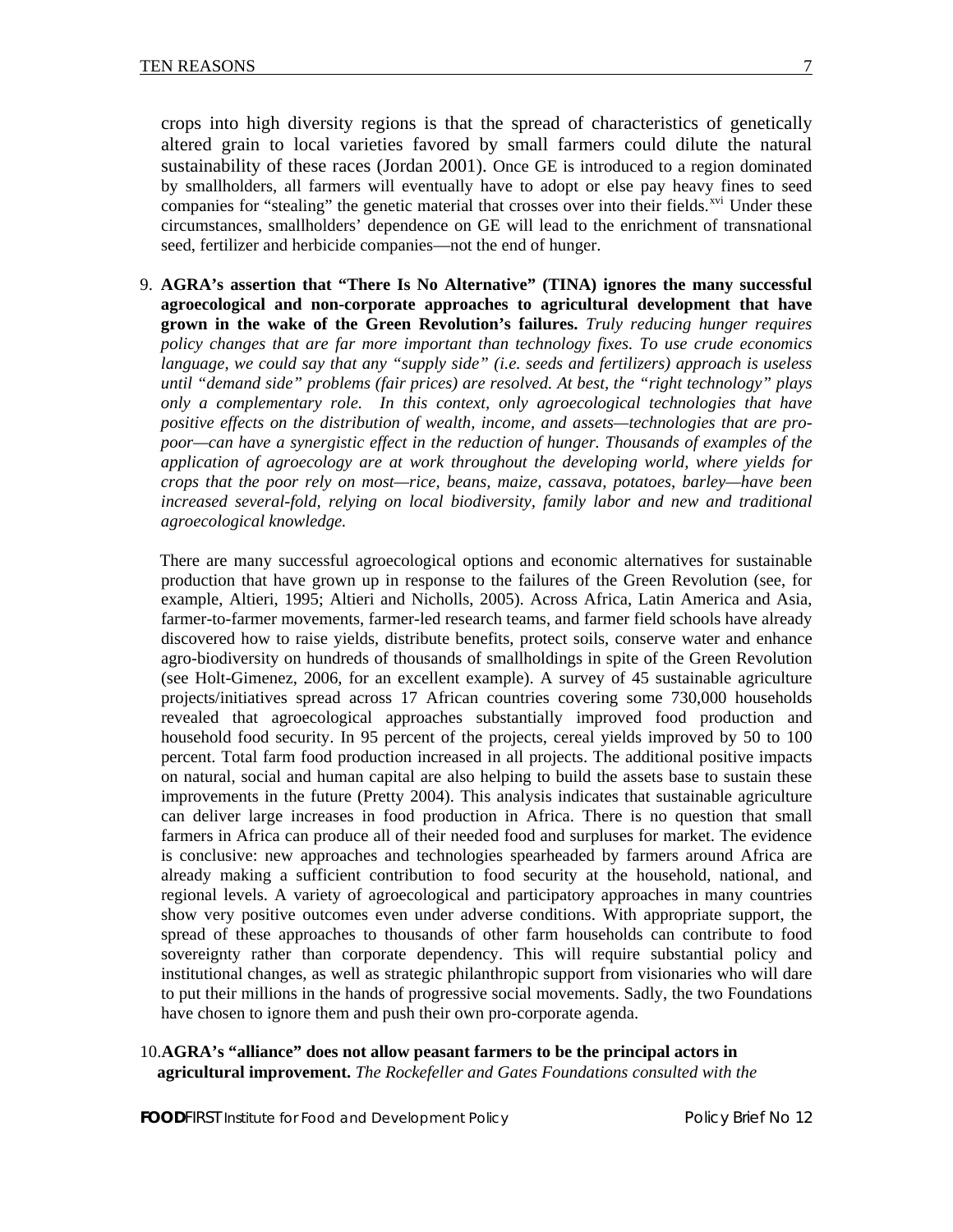crops into high diversity regions is that the spread of characteristics of genetically altered grain to local varieties favored by small farmers could dilute the natural sustainability of these races (Jordan 2001). Once GE is introduced to a region dominated by smallholders, all farmers will eventually have to adopt or else pay heavy fines to seed companies for "stealing" the genetic material that crosses over into their fields.<sup>[xvi](#page-11-0)</sup> Under these circumstances, smallholders' dependence on GE will lead to the enrichment of transnational seed, fertilizer and herbicide companies—not the end of hunger.

9. **AGRA's assertion that "There Is No Alternative" (TINA) ignores the many successful agroecological and non-corporate approaches to agricultural development that have grown in the wake of the Green Revolution's failures.** *Truly reducing hunger requires policy changes that are far more important than technology fixes. To use crude economics language, we could say that any "supply side" (i.e. seeds and fertilizers) approach is useless until "demand side" problems (fair prices) are resolved. At best, the "right technology" plays only a complementary role. In this context, only agroecological technologies that have positive effects on the distribution of wealth, income, and assets—technologies that are propoor—can have a synergistic effect in the reduction of hunger. Thousands of examples of the application of agroecology are at work throughout the developing world, where yields for crops that the poor rely on most—rice, beans, maize, cassava, potatoes, barley—have been increased several-fold, relying on local biodiversity, family labor and new and traditional agroecological knowledge.*

 There are many successful agroecological options and economic alternatives for sustainable production that have grown up in response to the failures of the Green Revolution (see, for example, Altieri, 1995; Altieri and Nicholls, 2005). Across Africa, Latin America and Asia, farmer-to-farmer movements, farmer-led research teams, and farmer field schools have already discovered how to raise yields, distribute benefits, protect soils, conserve water and enhance agro-biodiversity on hundreds of thousands of smallholdings in spite of the Green Revolution (see Holt-Gimenez, 2006, for an excellent example). A survey of 45 sustainable agriculture projects/initiatives spread across 17 African countries covering some 730,000 households revealed that agroecological approaches substantially improved food production and household food security. In 95 percent of the projects, cereal yields improved by 50 to 100 percent. Total farm food production increased in all projects. The additional positive impacts on natural, social and human capital are also helping to build the assets base to sustain these improvements in the future (Pretty 2004). This analysis indicates that sustainable agriculture can deliver large increases in food production in Africa. There is no question that small farmers in Africa can produce all of their needed food and surpluses for market. The evidence is conclusive: new approaches and technologies spearheaded by farmers around Africa are already making a sufficient contribution to food security at the household, national, and regional levels. A variety of agroecological and participatory approaches in many countries show very positive outcomes even under adverse conditions. With appropriate support, the spread of these approaches to thousands of other farm households can contribute to food sovereignty rather than corporate dependency. This will require substantial policy and institutional changes, as well as strategic philanthropic support from visionaries who will dare to put their millions in the hands of progressive social movements. Sadly, the two Foundations have chosen to ignore them and push their own pro-corporate agenda.

# 10.**AGRA's "alliance" does not allow peasant farmers to be the principal actors in agricultural improvement.** *The Rockefeller and Gates Foundations consulted with the*

**FOODFIRST** Institute for Food and Development Policy **Property Report Accord Policy Brief No 12**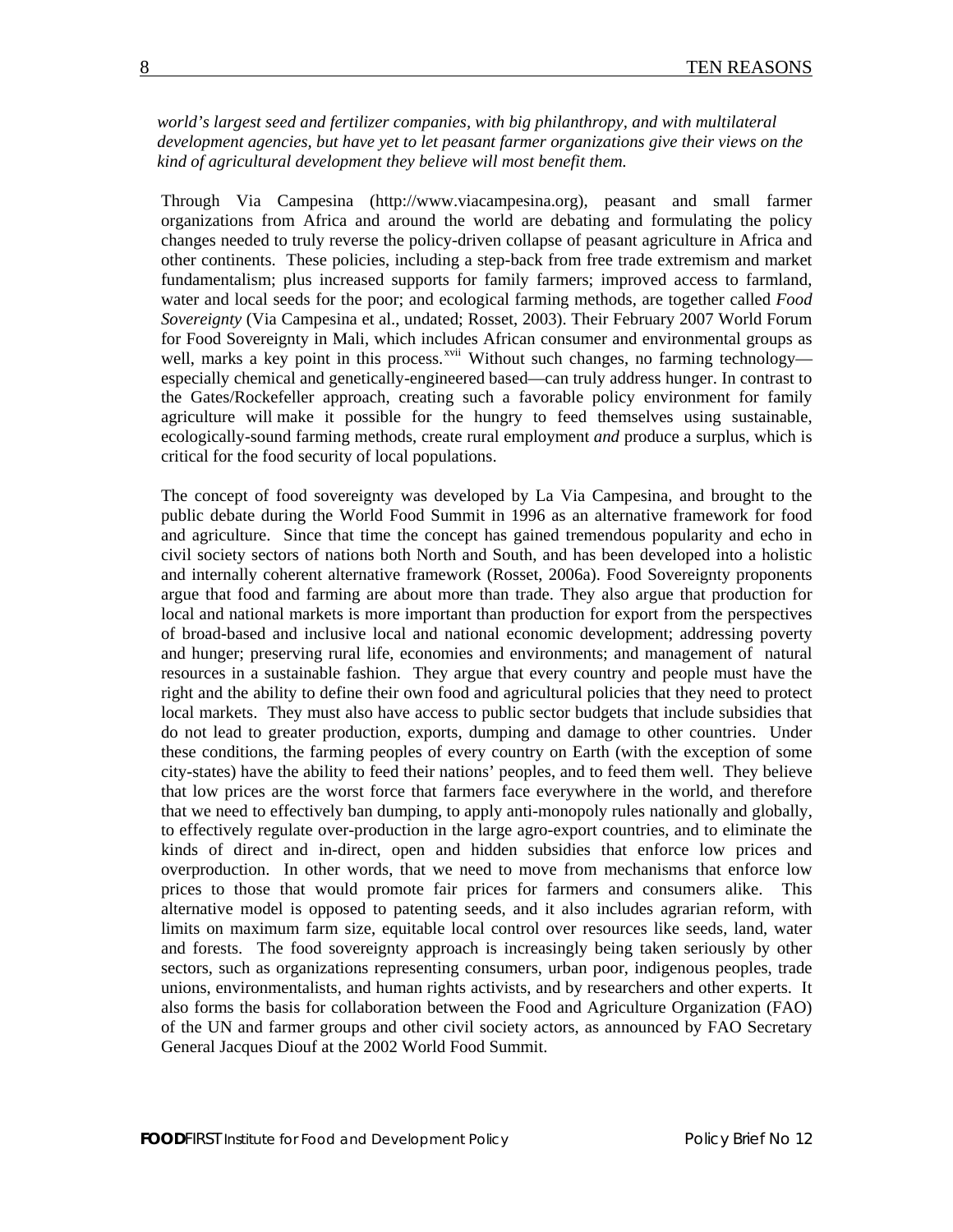*world's largest seed and fertilizer companies, with big philanthropy, and with multilateral development agencies, but have yet to let peasant farmer organizations give their views on the kind of agricultural development they believe will most benefit them.* 

Through Via Campesina (http://www.viacampesina.org), peasant and small farmer organizations from Africa and around the world are debating and formulating the policy changes needed to truly reverse the policy-driven collapse of peasant agriculture in Africa and other continents. These policies, including a step-back from free trade extremism and market fundamentalism; plus increased supports for family farmers; improved access to farmland, water and local seeds for the poor; and ecological farming methods, are together called *Food Sovereignty* (Via Campesina et al., undated; Rosset, 2003). Their February 2007 World Forum for Food Sovereignty in Mali, which includes African consumer and environmental groups as well, marks a key point in this process.<sup>[xvii](#page-11-0)</sup> Without such changes, no farming technology especially chemical and genetically-engineered based—can truly address hunger. In contrast to the Gates/Rockefeller approach, creating such a favorable policy environment for family agriculture will make it possible for the hungry to feed themselves using sustainable, ecologically-sound farming methods, create rural employment *and* produce a surplus, which is critical for the food security of local populations.

The concept of food sovereignty was developed by La Via Campesina, and brought to the public debate during the World Food Summit in 1996 as an alternative framework for food and agriculture. Since that time the concept has gained tremendous popularity and echo in civil society sectors of nations both North and South, and has been developed into a holistic and internally coherent alternative framework (Rosset, 2006a). Food Sovereignty proponents argue that food and farming are about more than trade. They also argue that production for local and national markets is more important than production for export from the perspectives of broad-based and inclusive local and national economic development; addressing poverty and hunger; preserving rural life, economies and environments; and management of natural resources in a sustainable fashion. They argue that every country and people must have the right and the ability to define their own food and agricultural policies that they need to protect local markets. They must also have access to public sector budgets that include subsidies that do not lead to greater production, exports, dumping and damage to other countries. Under these conditions, the farming peoples of every country on Earth (with the exception of some city-states) have the ability to feed their nations' peoples, and to feed them well. They believe that low prices are the worst force that farmers face everywhere in the world, and therefore that we need to effectively ban dumping, to apply anti-monopoly rules nationally and globally, to effectively regulate over-production in the large agro-export countries, and to eliminate the kinds of direct and in-direct, open and hidden subsidies that enforce low prices and overproduction. In other words, that we need to move from mechanisms that enforce low prices to those that would promote fair prices for farmers and consumers alike. This alternative model is opposed to patenting seeds, and it also includes agrarian reform, with limits on maximum farm size, equitable local control over resources like seeds, land, water and forests. The food sovereignty approach is increasingly being taken seriously by other sectors, such as organizations representing consumers, urban poor, indigenous peoples, trade unions, environmentalists, and human rights activists, and by researchers and other experts. It also forms the basis for collaboration between the Food and Agriculture Organization (FAO) of the UN and farmer groups and other civil society actors, as announced by FAO Secretary General Jacques Diouf at the 2002 World Food Summit.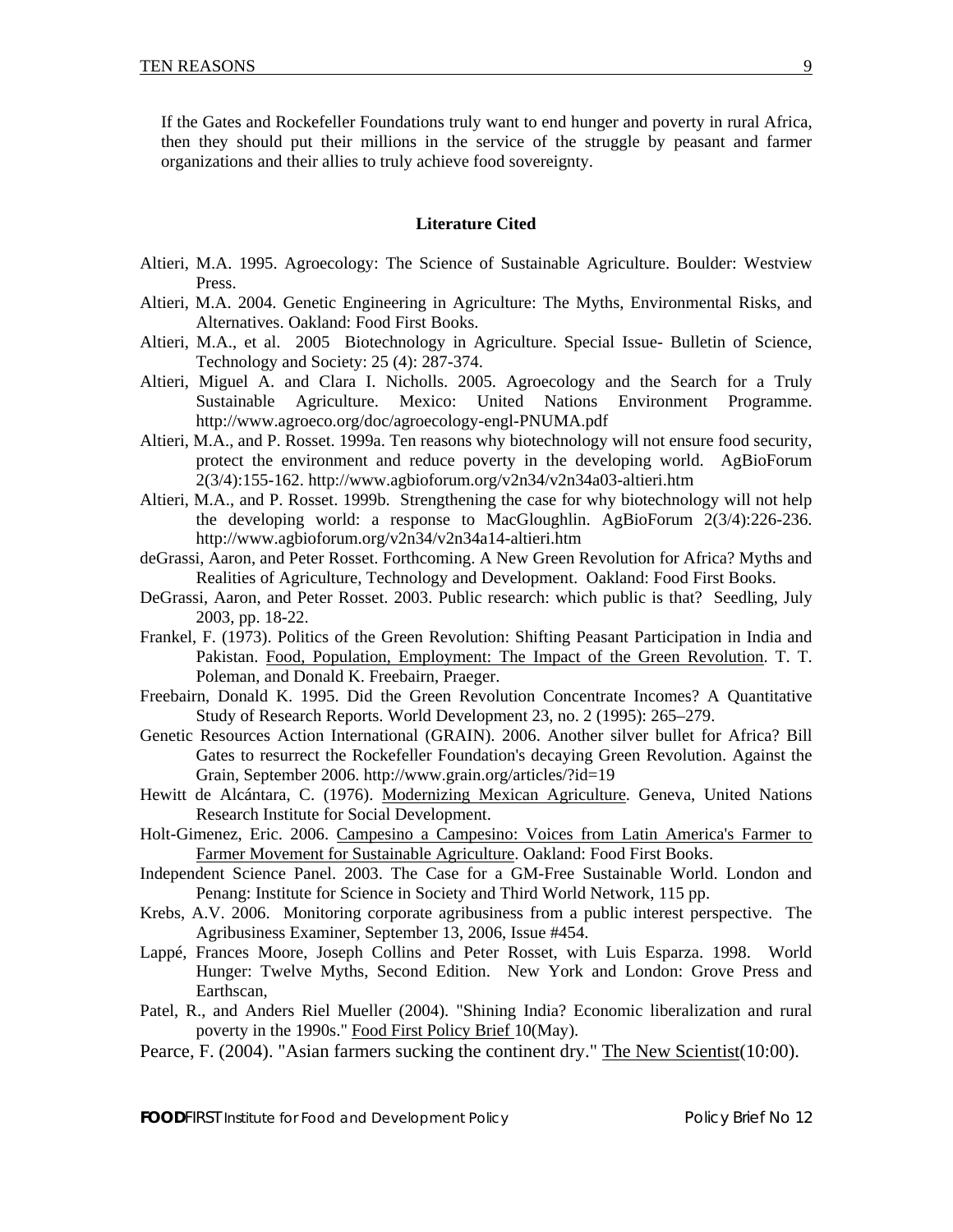If the Gates and Rockefeller Foundations truly want to end hunger and poverty in rural Africa, then they should put their millions in the service of the struggle by peasant and farmer organizations and their allies to truly achieve food sovereignty.

## **Literature Cited**

- Altieri, M.A. 1995. Agroecology: The Science of Sustainable Agriculture. Boulder: Westview Press.
- Altieri, M.A. 2004. Genetic Engineering in Agriculture: The Myths, Environmental Risks, and Alternatives. Oakland: Food First Books.
- Altieri, M.A., et al. 2005 Biotechnology in Agriculture. Special Issue- Bulletin of Science, Technology and Society: 25 (4): 287-374.
- Altieri, Miguel A. and Clara I. Nicholls. 2005. Agroecology and the Search for a Truly Sustainable Agriculture. Mexico: United Nations Environment Programme. http://www.agroeco.org/doc/agroecology-engl-PNUMA.pdf
- Altieri, M.A., and P. Rosset. 1999a. Ten reasons why biotechnology will not ensure food security, protect the environment and reduce poverty in the developing world. AgBioForum 2(3/4):155-162. http://www.agbioforum.org/v2n34/v2n34a03-altieri.htm
- Altieri, M.A., and P. Rosset. 1999b. Strengthening the case for why biotechnology will not help the developing world: a response to MacGloughlin. AgBioForum 2(3/4):226-236. http://www.agbioforum.org/v2n34/v2n34a14-altieri.htm
- deGrassi, Aaron, and Peter Rosset. Forthcoming. A New Green Revolution for Africa? Myths and Realities of Agriculture, Technology and Development. Oakland: Food First Books.
- DeGrassi, Aaron, and Peter Rosset. 2003. Public research: which public is that? Seedling, July 2003, pp. 18-22.
- Frankel, F. (1973). Politics of the Green Revolution: Shifting Peasant Participation in India and Pakistan. Food, Population, Employment: The Impact of the Green Revolution. T. T. Poleman, and Donald K. Freebairn, Praeger.
- Freebairn, Donald K. 1995. Did the Green Revolution Concentrate Incomes? A Quantitative Study of Research Reports. World Development 23, no. 2 (1995): 265–279.
- Genetic Resources Action International (GRAIN). 2006. Another silver bullet for Africa? Bill Gates to resurrect the Rockefeller Foundation's decaying Green Revolution. Against the Grain, September 2006. http://www.grain.org/articles/?id=19
- Hewitt de Alcántara, C. (1976). Modernizing Mexican Agriculture. Geneva, United Nations Research Institute for Social Development.
- Holt-Gimenez, Eric. 2006. Campesino a Campesino: Voices from Latin America's Farmer to Farmer Movement for Sustainable Agriculture. Oakland: Food First Books.
- Independent Science Panel. 2003. The Case for a GM-Free Sustainable World. London and Penang: Institute for Science in Society and Third World Network, 115 pp.
- Krebs, A.V. 2006. Monitoring corporate agribusiness from a public interest perspective. The Agribusiness Examiner, September 13, 2006, Issue #454.
- Lappé, Frances Moore, Joseph Collins and Peter Rosset, with Luis Esparza. 1998. World Hunger: Twelve Myths, Second Edition. New York and London: Grove Press and Earthscan,
- Patel, R., and Anders Riel Mueller (2004). "Shining India? Economic liberalization and rural poverty in the 1990s." Food First Policy Brief 10(May).
- Pearce, F. (2004). "Asian farmers sucking the continent dry." The New Scientist(10:00).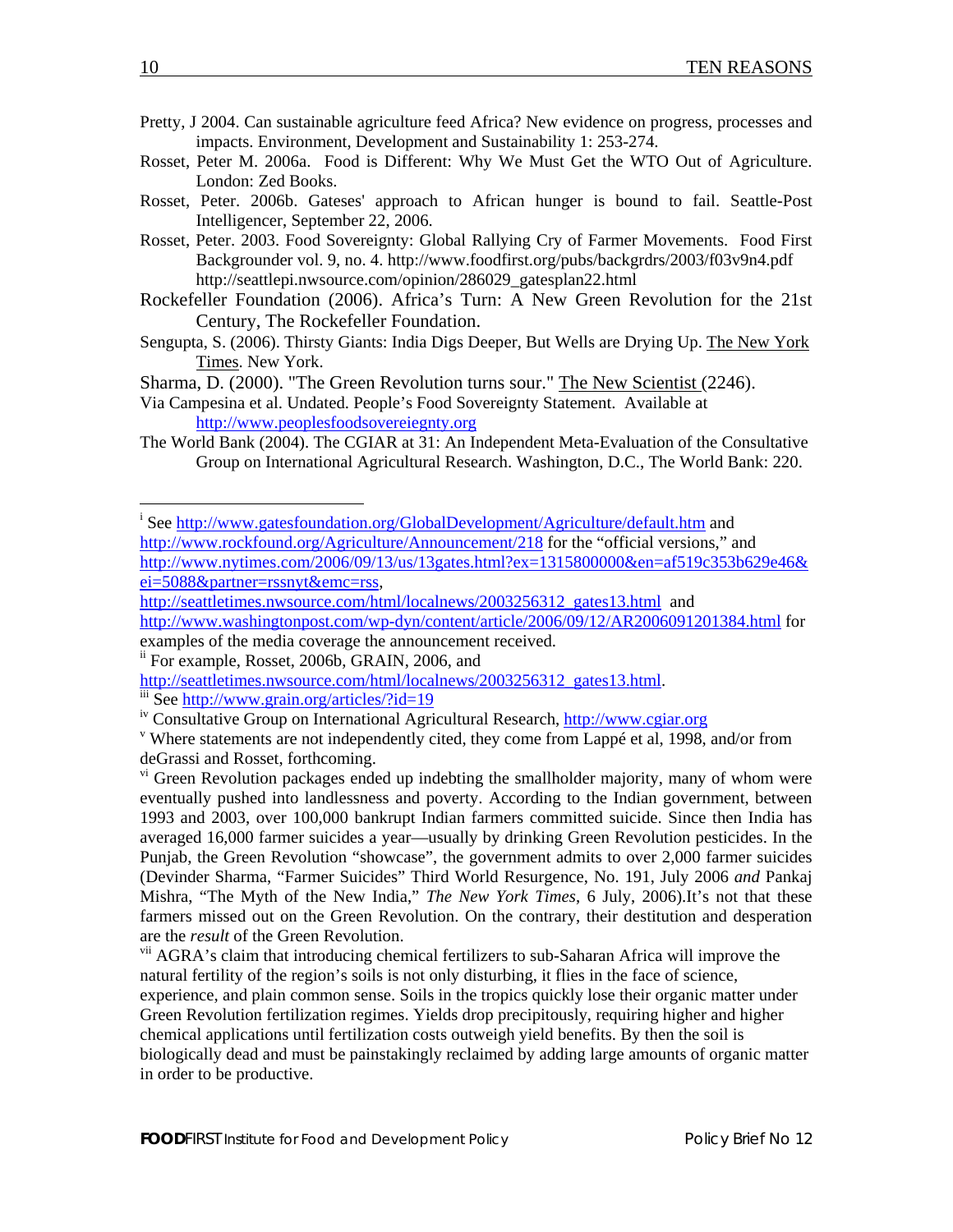- <span id="page-10-1"></span>Pretty, J 2004. Can sustainable agriculture feed Africa? New evidence on progress, processes and impacts. Environment, Development and Sustainability 1: 253-274.
- Rosset, Peter M. 2006a. Food is Different: Why We Must Get the WTO Out of Agriculture. London: Zed Books.
- Rosset, Peter. 2006b. Gateses' approach to African hunger is bound to fail. Seattle-Post Intelligencer, September 22, 2006.
- Rosset, Peter. 2003. Food Sovereignty: Global Rallying Cry of Farmer Movements. Food First Backgrounder vol. 9, no. 4. http://www.foodfirst.org/pubs/backgrdrs/2003/f03v9n4.pdf http://seattlepi.nwsource.com/opinion/286029\_gatesplan22.html
- Rockefeller Foundation (2006). Africa's Turn: A New Green Revolution for the 21st Century, The Rockefeller Foundation.
- Sengupta, S. (2006). Thirsty Giants: India Digs Deeper, But Wells are Drying Up. The New York Times. New York.
- Sharma, D. (2000). "The Green Revolution turns sour." The New Scientist (2246).
- Via Campesina et al. Undated. People's Food Sovereignty Statement. Available at [http://www.peoplesfoodsovereiegnty.org](http://www.peoplesfoodsovereiegnty.org/)
- The World Bank (2004). The CGIAR at 31: An Independent Meta-Evaluation of the Consultative Group on International Agricultural Research. Washington, D.C., The World Bank: 220.

 $\overline{a}$ 

<span id="page-10-0"></span><sup>&</sup>lt;sup>i</sup> See<http://www.gatesfoundation.org/GlobalDevelopment/Agriculture/default.htm> and <http://www.rockfound.org/Agriculture/Announcement/218> for the "official versions," and [http://www.nytimes.com/2006/09/13/us/13gates.html?ex=1315800000&en=af519c353b629e46&](http://www.nytimes.com/2006/09/13/us/13gates.html?ex=1315800000&en=af519c353b629e46&ei=5088&partner=rssnyt&emc=rss) [ei=5088&partner=rssnyt&emc=rss,](http://www.nytimes.com/2006/09/13/us/13gates.html?ex=1315800000&en=af519c353b629e46&ei=5088&partner=rssnyt&emc=rss)

[http://seattletimes.nwsource.com/html/localnews/2003256312\\_gates13.html](http://seattletimes.nwsource.com/html/localnews/2003256312_gates13.html) and <http://www.washingtonpost.com/wp-dyn/content/article/2006/09/12/AR2006091201384.html> for examples of the media coverage the announcement received.

<sup>&</sup>lt;sup>ii</sup> For example, Rosset, 2006b, GRAIN, 2006, and<br>http://seattletimes.nwsource.com/html/localnews/2003256312 gates13.html.

http://www.grain.org/articles/?id=19<br>iv Consultative Group on International Agricultural Research, http://www.cgiar.org

Where statements are not independently cited, they come from Lappé et al, 1998, and/or from deGrassi and Rosset, forthcoming.

<sup>&</sup>lt;sup>vi</sup> Green Revolution packages ended up indebting the smallholder majority, many of whom were eventually pushed into landlessness and poverty. According to the Indian government, between 1993 and 2003, over 100,000 bankrupt Indian farmers committed suicide. Since then India has averaged 16,000 farmer suicides a year—usually by drinking Green Revolution pesticides. In the Punjab, the Green Revolution "showcase", the government admits to over 2,000 farmer suicides (Devinder Sharma, "Farmer Suicides" Third World Resurgence, No. 191, July 2006 *and* Pankaj Mishra, "The Myth of the New India," *The New York Times*, 6 July, 2006).It's not that these farmers missed out on the Green Revolution. On the contrary, their destitution and desperation are the *result* of the Green Revolution.

<sup>&</sup>lt;sup>vii</sup> AGRA's claim that introducing chemical fertilizers to sub-Saharan Africa will improve the natural fertility of the region's soils is not only disturbing, it flies in the face of science, experience, and plain common sense. Soils in the tropics quickly lose their organic matter under Green Revolution fertilization regimes. Yields drop precipitously, requiring higher and higher chemical applications until fertilization costs outweigh yield benefits. By then the soil is biologically dead and must be painstakingly reclaimed by adding large amounts of organic matter in order to be productive.